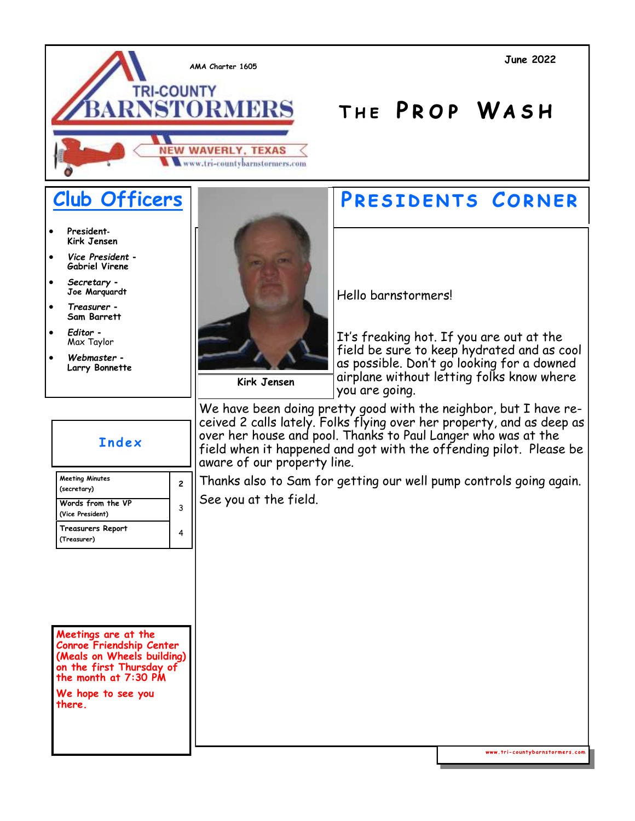

- **President***-***Kirk Jensen**
- *Vice President -* **Gabriel Virene**
- *Secretary -* **Joe Marquardt**
- *Treasurer -* **Sam Barrett**
- *Editor -* Max Taylor

**(Treasurer)**

• *Webmaster -* **Larry Bonnette** 



### **Club Officers | PRESIDENTS CORNER**

**T h e P r o p Wa s h**

Hello barnstormers!

It's freaking hot. If you are out at the field be sure to keep hydrated and as cool as possible. Don't go looking for a downed airplane without letting folks know where you are going.

**Kirk Jensen**

We have been doing pretty good with the neighbor, but I have received 2 calls lately. Folks flying over her property, and as deep as over her house and pool. Thanks to Paul Langer who was at the field when it happened and got with the offending pilot. Please be aware of our property line.

Thanks also to Sam for getting our well pump controls going again. See you at the field.

### **I n d e x Meeting Minutes (secretary) <sup>2</sup> Words from the VP (Vice President)** 3 **Treasurers Report** 4

**Meetings are at the Conroe Friendship Center (Meals on Wheels building) on the first Thursday of the month at 7:30 PM**

**We hope to see you there.**

www.tri-countybarnstormers.com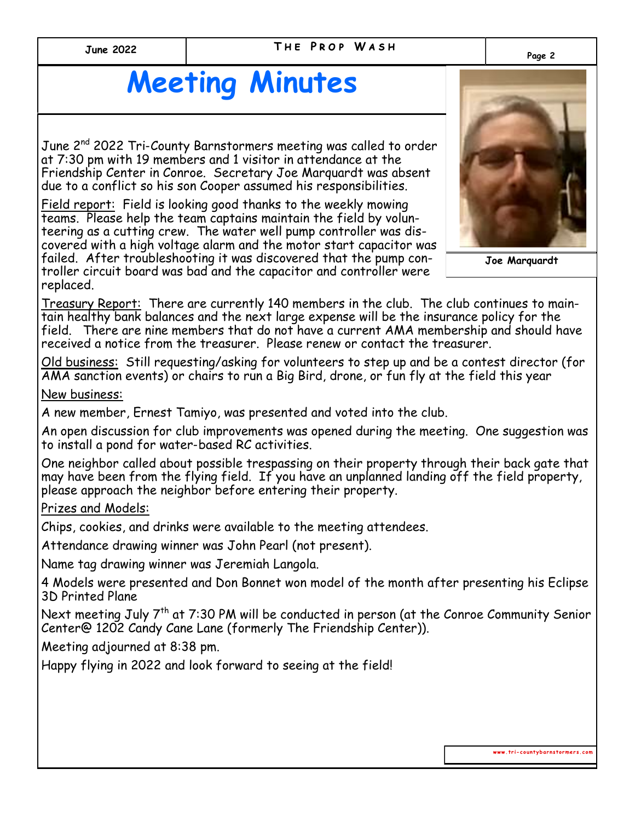#### **THE PROP WASH Page 2 June 2022**

## **Meeting Minutes**

June 2<sup>nd</sup> 2022 Tri-County Barnstormers meeting was called to order at 7:30 pm with 19 members and 1 visitor in attendance at the Friendship Center in Conroe. Secretary Joe Marquardt was absent due to a conflict so his son Cooper assumed his responsibilities.

Field report: Field is looking good thanks to the weekly mowing teams. Please help the team captains maintain the field by volunteering as a cutting crew. The water well pump controller was discovered with a high voltage alarm and the motor start capacitor was failed. After troubleshooting it was discovered that the pump controller circuit board was bad and the capacitor and controller were replaced.

Treasury Report: There are currently 140 members in the club. The club continues to maintain healthy bank balances and the next large expense will be the insurance policy for the field. There are nine members that do not have a current AMA membership and should have received a notice from the treasurer. Please renew or contact the treasurer.

Old business: Still requesting/asking for volunteers to step up and be a contest director (for AMA sanction events) or chairs to run a Big Bird, drone, or fun fly at the field this year

New business:

A new member, Ernest Tamiyo, was presented and voted into the club.

An open discussion for club improvements was opened during the meeting. One suggestion was to install a pond for water-based RC activities.

One neighbor called about possible trespassing on their property through their back gate that may have been from the flying field. If you have an unplanned landing off the field property, please approach the neighbor before entering their property.

Prizes and Models:

Chips, cookies, and drinks were available to the meeting attendees.

Attendance drawing winner was John Pearl (not present).

Name tag drawing winner was Jeremiah Langola.

4 Models were presented and Don Bonnet won model of the month after presenting his Eclipse 3D Printed Plane

Next meeting July 7th at 7:30 PM will be conducted in person (at the Conroe Community Senior Center@ 1202 Candy Cane Lane (formerly The Friendship Center)).

Meeting adjourned at 8:38 pm.

Happy flying in 2022 and look forward to seeing at the field!



www.tri-countybarnstormers.com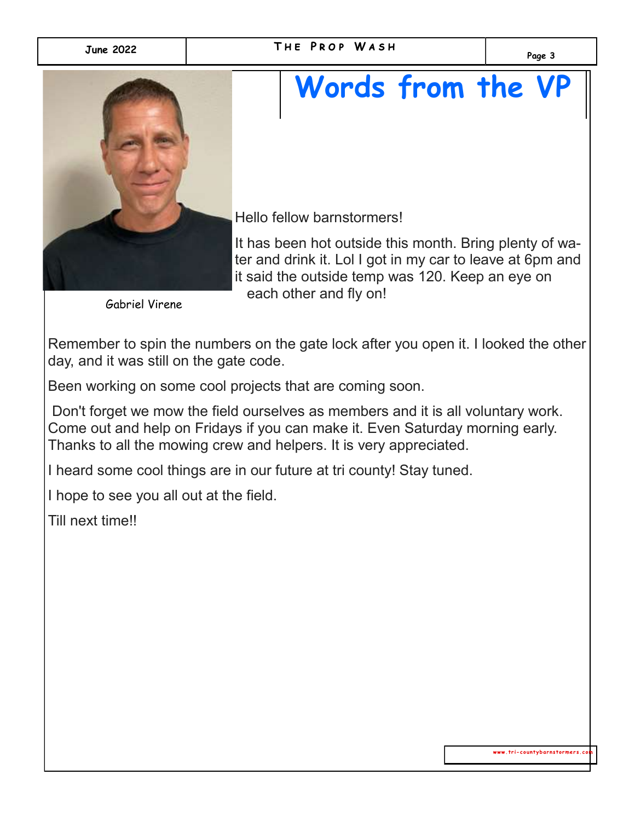

# **Words from the VP**

Hello fellow barnstormers!

It has been hot outside this month. Bring plenty of water and drink it. Lol I got in my car to leave at 6pm and it said the outside temp was 120. Keep an eye on each other and fly on!

Gabriel Virene

Remember to spin the numbers on the gate lock after you open it. I looked the other day, and it was still on the gate code.

Been working on some cool projects that are coming soon.

Don't forget we mow the field ourselves as members and it is all voluntary work. Come out and help on Fridays if you can make it. Even Saturday morning early. Thanks to all the mowing crew and helpers. It is very appreciated.

I heard some cool things are in our future at tri county! Stay tuned.

I hope to see you all out at the field.

Till next time!!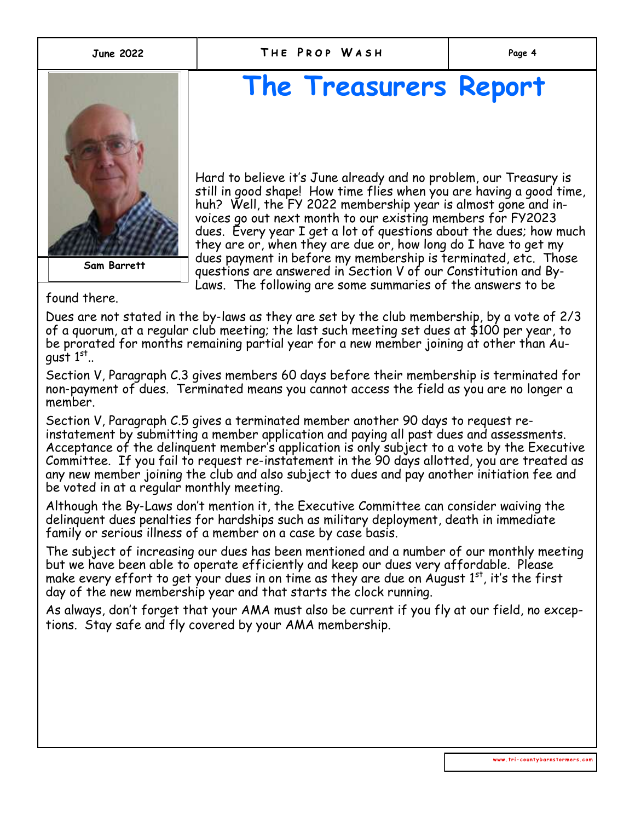

**Dick Pursley Sam Barrett**

## **The Treasurers Report**

Hard to believe it's June already and no problem, our Treasury is still in good shape! How time flies when you are having a good time, huh? Well, the FY 2022 membership year is almost gone and invoices go out next month to our existing members for FY2023 dues. Every year I get a lot of questions about the dues; how much they are or, when they are due or, how long do I have to get my dues payment in before my membership is terminated, etc. Those questions are answered in Section V of our Constitution and By-Laws. The following are some summaries of the answers to be

found there.

Dues are not stated in the by-laws as they are set by the club membership, by a vote of 2/3 of a quorum, at a regular club meeting; the last such meeting set dues at \$100 per year, to be prorated for months remaining partial year for a new member joining at other than August  $1^\text{st}$ ..

Section V, Paragraph C.3 gives members 60 days before their membership is terminated for non-payment of dues. Terminated means you cannot access the field as you are no longer a member.

Section V, Paragraph C.5 gives a terminated member another 90 days to request reinstatement by submitting a member application and paying all past dues and assessments. Acceptance of the delinquent member's application is only subject to a vote by the Executive Committee. If you fail to request re-instatement in the 90 days allotted, you are treated as any new member joining the club and also subject to dues and pay another initiation fee and be voted in at a regular monthly meeting.

Although the By-Laws don't mention it, the Executive Committee can consider waiving the delinquent dues penalties for hardships such as military deployment, death in immediate family or serious illness of a member on a case by case basis.

The subject of increasing our dues has been mentioned and a number of our monthly meeting but we have been able to operate efficiently and keep our dues very affordable. Please make every effort to get your dues in on time as they are due on August  $1<sup>st</sup>$ , it's the first day of the new membership year and that starts the clock running.

As always, don't forget that your AMA must also be current if you fly at our field, no exceptions. Stay safe and fly covered by your AMA membership.